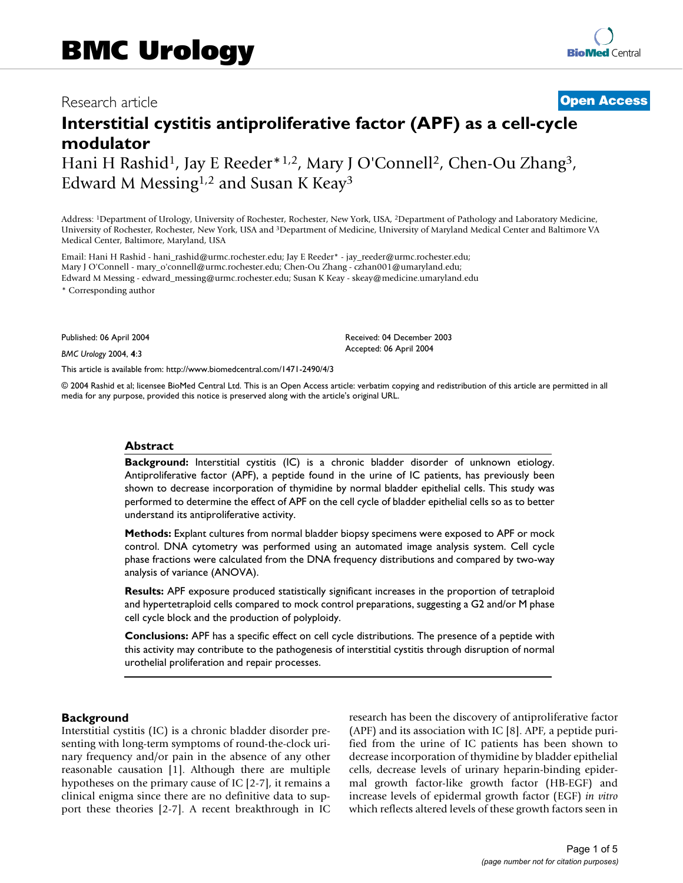# Research article **[Open Access](http://www.biomedcentral.com/info/about/charter/)**

# **Interstitial cystitis antiproliferative factor (APF) as a cell-cycle modulator** Hani H Rashid<sup>1</sup>, Jay E Reeder<sup>\*1,2</sup>, Mary J O'Connell<sup>2</sup>, Chen-Ou Zhang<sup>3</sup>,

Edward M Messing<sup>1,2</sup> and Susan K Keay<sup>3</sup>

Address: 1Department of Urology, University of Rochester, Rochester, New York, USA, 2Department of Pathology and Laboratory Medicine, University of Rochester, Rochester, New York, USA and 3Department of Medicine, University of Maryland Medical Center and Baltimore VA Medical Center, Baltimore, Maryland, USA

Email: Hani H Rashid - hani\_rashid@urmc.rochester.edu; Jay E Reeder\* - jay\_reeder@urmc.rochester.edu; Mary J O'Connell - mary\_o'connell@urmc.rochester.edu; Chen-Ou Zhang - czhan001@umaryland.edu; Edward M Messing - edward\_messing@urmc.rochester.edu; Susan K Keay - skeay@medicine.umaryland.edu \* Corresponding author

Published: 06 April 2004

*BMC Urology* 2004, **4**:3

[This article is available from: http://www.biomedcentral.com/1471-2490/4/3](http://www.biomedcentral.com/1471-2490/4/3)

© 2004 Rashid et al; licensee BioMed Central Ltd. This is an Open Access article: verbatim copying and redistribution of this article are permitted in all media for any purpose, provided this notice is preserved along with the article's original URL.

Received: 04 December 2003 Accepted: 06 April 2004

#### **Abstract**

**Background:** Interstitial cystitis (IC) is a chronic bladder disorder of unknown etiology. Antiproliferative factor (APF), a peptide found in the urine of IC patients, has previously been shown to decrease incorporation of thymidine by normal bladder epithelial cells. This study was performed to determine the effect of APF on the cell cycle of bladder epithelial cells so as to better understand its antiproliferative activity.

**Methods:** Explant cultures from normal bladder biopsy specimens were exposed to APF or mock control. DNA cytometry was performed using an automated image analysis system. Cell cycle phase fractions were calculated from the DNA frequency distributions and compared by two-way analysis of variance (ANOVA).

**Results:** APF exposure produced statistically significant increases in the proportion of tetraploid and hypertetraploid cells compared to mock control preparations, suggesting a G2 and/or M phase cell cycle block and the production of polyploidy.

**Conclusions:** APF has a specific effect on cell cycle distributions. The presence of a peptide with this activity may contribute to the pathogenesis of interstitial cystitis through disruption of normal urothelial proliferation and repair processes.

#### **Background**

Interstitial cystitis (IC) is a chronic bladder disorder presenting with long-term symptoms of round-the-clock urinary frequency and/or pain in the absence of any other reasonable causation [1]. Although there are multiple hypotheses on the primary cause of IC [2-7], it remains a clinical enigma since there are no definitive data to support these theories [2-7]. A recent breakthrough in IC research has been the discovery of antiproliferative factor (APF) and its association with IC [8]. APF, a peptide purified from the urine of IC patients has been shown to decrease incorporation of thymidine by bladder epithelial cells, decrease levels of urinary heparin-binding epidermal growth factor-like growth factor (HB-EGF) and increase levels of epidermal growth factor (EGF) *in vitro* which reflects altered levels of these growth factors seen in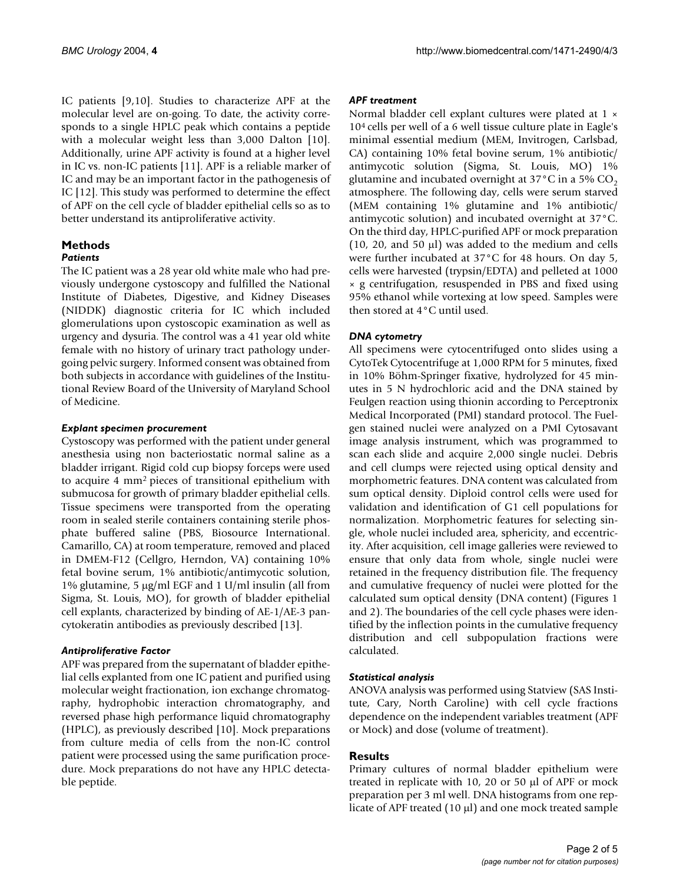IC patients [9,10]. Studies to characterize APF at the molecular level are on-going. To date, the activity corresponds to a single HPLC peak which contains a peptide with a molecular weight less than 3,000 Dalton [10]. Additionally, urine APF activity is found at a higher level in IC vs. non-IC patients [11]. APF is a reliable marker of IC and may be an important factor in the pathogenesis of IC [\[12\]](#page-4-0). This study was performed to determine the effect of APF on the cell cycle of bladder epithelial cells so as to better understand its antiproliferative activity.

# **Methods**

### *Patients*

The IC patient was a 28 year old white male who had previously undergone cystoscopy and fulfilled the National Institute of Diabetes, Digestive, and Kidney Diseases (NIDDK) diagnostic criteria for IC which included glomerulations upon cystoscopic examination as well as urgency and dysuria. The control was a 41 year old white female with no history of urinary tract pathology undergoing pelvic surgery. Informed consent was obtained from both subjects in accordance with guidelines of the Institutional Review Board of the University of Maryland School of Medicine.

### *Explant specimen procurement*

Cystoscopy was performed with the patient under general anesthesia using non bacteriostatic normal saline as a bladder irrigant. Rigid cold cup biopsy forceps were used to acquire 4 mm2 pieces of transitional epithelium with submucosa for growth of primary bladder epithelial cells. Tissue specimens were transported from the operating room in sealed sterile containers containing sterile phosphate buffered saline (PBS, Biosource International. Camarillo, CA) at room temperature, removed and placed in DMEM-F12 (Cellgro, Herndon, VA) containing 10% fetal bovine serum, 1% antibiotic/antimycotic solution, 1% glutamine, 5 µg/ml EGF and 1 U/ml insulin (all from Sigma, St. Louis, MO), for growth of bladder epithelial cell explants, characterized by binding of AE-1/AE-3 pancytokeratin antibodies as previously described [13].

# *Antiproliferative Factor*

APF was prepared from the supernatant of bladder epithelial cells explanted from one IC patient and purified using molecular weight fractionation, ion exchange chromatography, hydrophobic interaction chromatography, and reversed phase high performance liquid chromatography (HPLC), as previously described [10]. Mock preparations from culture media of cells from the non-IC control patient were processed using the same purification procedure. Mock preparations do not have any HPLC detectable peptide.

#### *APF treatment*

Normal bladder cell explant cultures were plated at 1 × 104 cells per well of a 6 well tissue culture plate in Eagle's minimal essential medium (MEM, Invitrogen, Carlsbad, CA) containing 10% fetal bovine serum, 1% antibiotic/ antimycotic solution (Sigma, St. Louis, MO) 1% glutamine and incubated overnight at  $37^{\circ}$ C in a 5% CO<sub>2</sub> atmosphere. The following day, cells were serum starved (MEM containing 1% glutamine and 1% antibiotic/ antimycotic solution) and incubated overnight at 37°C. On the third day, HPLC-purified APF or mock preparation (10, 20, and 50  $\mu$ l) was added to the medium and cells were further incubated at 37°C for 48 hours. On day 5, cells were harvested (trypsin/EDTA) and pelleted at 1000 × g centrifugation, resuspended in PBS and fixed using 95% ethanol while vortexing at low speed. Samples were then stored at 4°C until used.

### *DNA cytometry*

All specimens were cytocentrifuged onto slides using a CytoTek Cytocentrifuge at 1,000 RPM for 5 minutes, fixed in 10% Böhm-Springer fixative, hydrolyzed for 45 minutes in 5 N hydrochloric acid and the DNA stained by Feulgen reaction using thionin according to Perceptronix Medical Incorporated (PMI) standard protocol. The Fuelgen stained nuclei were analyzed on a PMI Cytosavant image analysis instrument, which was programmed to scan each slide and acquire 2,000 single nuclei. Debris and cell clumps were rejected using optical density and morphometric features. DNA content was calculated from sum optical density. Diploid control cells were used for validation and identification of G1 cell populations for normalization. Morphometric features for selecting single, whole nuclei included area, sphericity, and eccentricity. After acquisition, cell image galleries were reviewed to ensure that only data from whole, single nuclei were retained in the frequency distribution file. The frequency and cumulative frequency of nuclei were plotted for the calculated sum optical density (DNA content) (Figures [1](#page-2-0) and 2). The boundaries of the cell cycle phases were identified by the inflection points in the cumulative frequency distribution and cell subpopulation fractions were calculated.

#### *Statistical analysis*

ANOVA analysis was performed using Statview (SAS Institute, Cary, North Caroline) with cell cycle fractions dependence on the independent variables treatment (APF or Mock) and dose (volume of treatment).

# **Results**

Primary cultures of normal bladder epithelium were treated in replicate with 10, 20 or 50 µl of APF or mock preparation per 3 ml well. DNA histograms from one replicate of APF treated  $(10 \mu l)$  and one mock treated sample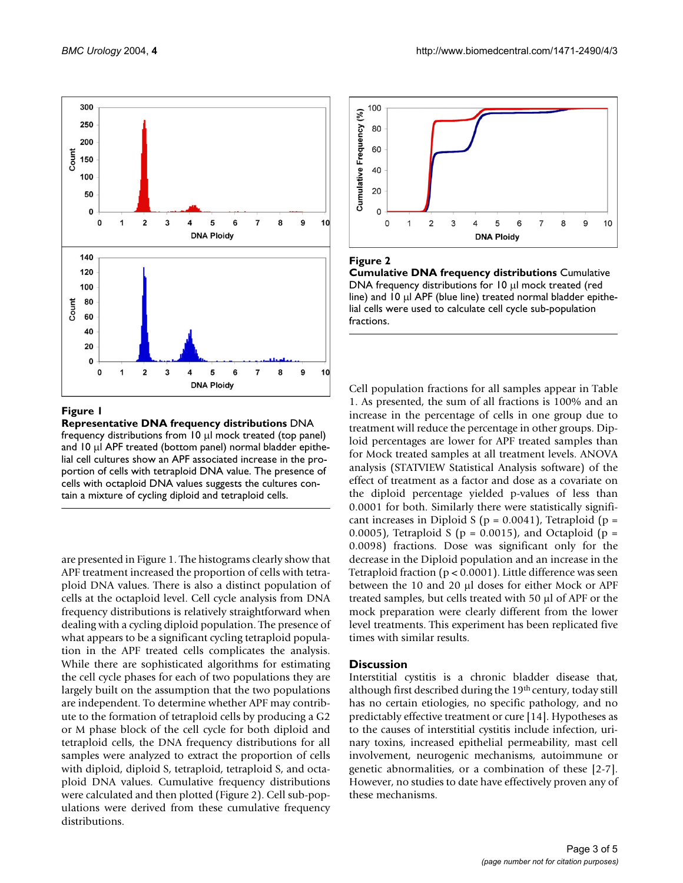<span id="page-2-0"></span>

### **Figure 1**

**Representative DNA frequency distributions** DNA frequency distributions from 10 µl mock treated (top panel) and 10 µl APF treated (bottom panel) normal bladder epithelial cell cultures show an APF associated increase in the proportion of cells with tetraploid DNA value. The presence of cells with octaploid DNA values suggests the cultures contain a mixture of cycling diploid and tetraploid cells.

are presented in Figure [1](#page-2-0). The histograms clearly show that APF treatment increased the proportion of cells with tetraploid DNA values. There is also a distinct population of cells at the octaploid level. Cell cycle analysis from DNA frequency distributions is relatively straightforward when dealing with a cycling diploid population. The presence of what appears to be a significant cycling tetraploid population in the APF treated cells complicates the analysis. While there are sophisticated algorithms for estimating the cell cycle phases for each of two populations they are largely built on the assumption that the two populations are independent. To determine whether APF may contribute to the formation of tetraploid cells by producing a G2 or M phase block of the cell cycle for both diploid and tetraploid cells, the DNA frequency distributions for all samples were analyzed to extract the proportion of cells with diploid, diploid S, tetraploid, tetraploid S, and octaploid DNA values. Cumulative frequency distributions were calculated and then plotted (Figure 2). Cell sub-populations were derived from these cumulative frequency distributions.



### **Figure 2**

**Cumulative DNA frequency distributions** Cumulative DNA frequency distributions for 10 µl mock treated (red line) and 10 µl APF (blue line) treated normal bladder epithelial cells were used to calculate cell cycle sub-population fractions.

Cell population fractions for all samples appear in Table [1](#page-3-0). As presented, the sum of all fractions is 100% and an increase in the percentage of cells in one group due to treatment will reduce the percentage in other groups. Diploid percentages are lower for APF treated samples than for Mock treated samples at all treatment levels. ANOVA analysis (STATVIEW Statistical Analysis software) of the effect of treatment as a factor and dose as a covariate on the diploid percentage yielded p-values of less than 0.0001 for both. Similarly there were statistically significant increases in Diploid S ( $p = 0.0041$ ), Tetraploid ( $p =$ 0.0005), Tetraploid S ( $p = 0.0015$ ), and Octaploid ( $p =$ 0.0098) fractions. Dose was significant only for the decrease in the Diploid population and an increase in the Tetraploid fraction (p < 0.0001). Little difference was seen between the 10 and 20 µl doses for either Mock or APF treated samples, but cells treated with 50 µl of APF or the mock preparation were clearly different from the lower level treatments. This experiment has been replicated five times with similar results.

# **Discussion**

Interstitial cystitis is a chronic bladder disease that, although first described during the 19th century, today still has no certain etiologies, no specific pathology, and no predictably effective treatment or cure [14]. Hypotheses as to the causes of interstitial cystitis include infection, urinary toxins, increased epithelial permeability, mast cell involvement, neurogenic mechanisms, autoimmune or genetic abnormalities, or a combination of these [2-7]. However, no studies to date have effectively proven any of these mechanisms.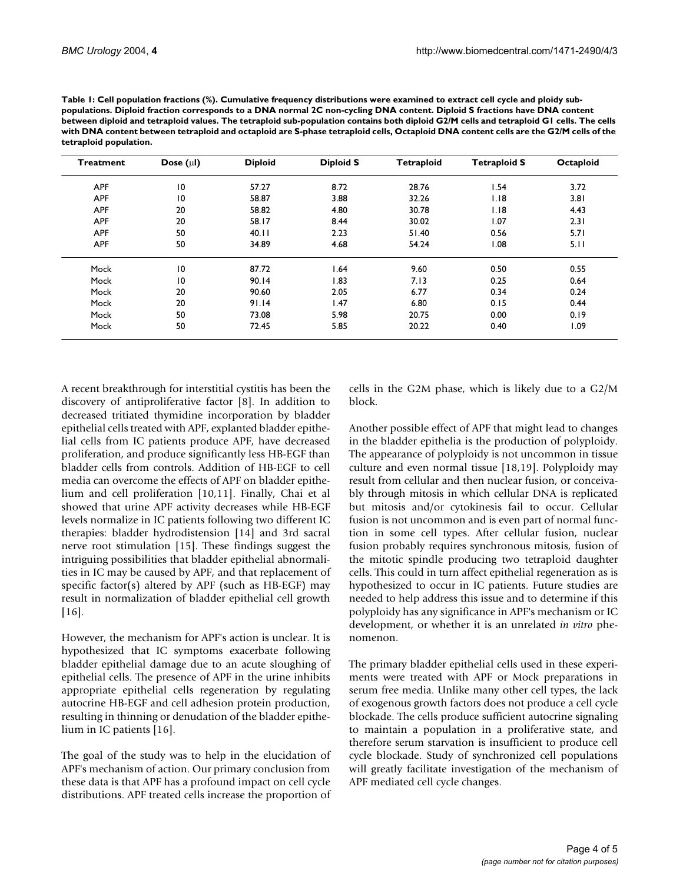| <b>Treatment</b> | Dose $(\mu I)$  | <b>Diploid</b> | <b>Diploid S</b> | <b>Tetraploid</b> | <b>Tetraploid S</b> | Octaploid |
|------------------|-----------------|----------------|------------------|-------------------|---------------------|-----------|
| <b>APF</b>       | $\overline{10}$ | 57.27          | 8.72             | 28.76             | 1.54                | 3.72      |
| <b>APF</b>       | 10              | 58.87          | 3.88             | 32.26             | 1.18                | 3.81      |
| <b>APF</b>       | 20              | 58.82          | 4.80             | 30.78             | 1.18                | 4.43      |
| <b>APF</b>       | 20              | 58.17          | 8.44             | 30.02             | 1.07                | 2.31      |
| <b>APF</b>       | 50              | 40.11          | 2.23             | 51.40             | 0.56                | 5.71      |
| <b>APF</b>       | 50              | 34.89          | 4.68             | 54.24             | 1.08                | 5.11      |
| Mock             | 10              | 87.72          | l.64             | 9.60              | 0.50                | 0.55      |
| Mock             | 10              | 90.14          | 1.83             | 7.13              | 0.25                | 0.64      |
| Mock             | 20              | 90.60          | 2.05             | 6.77              | 0.34                | 0.24      |
| Mock             | 20              | 91.14          | 1.47             | 6.80              | 0.15                | 0.44      |
| Mock             | 50              | 73.08          | 5.98             | 20.75             | 0.00                | 0.19      |
| Mock             | 50              | 72.45          | 5.85             | 20.22             | 0.40                | 1.09      |

<span id="page-3-0"></span>**Table 1: Cell population fractions (%). Cumulative frequency distributions were examined to extract cell cycle and ploidy subpopulations. Diploid fraction corresponds to a DNA normal 2C non-cycling DNA content. Diploid S fractions have DNA content between diploid and tetraploid values. The tetraploid sub-population contains both diploid G2/M cells and tetraploid G1 cells. The cells with DNA content between tetraploid and octaploid are S-phase tetraploid cells, Octaploid DNA content cells are the G2/M cells of the tetraploid population.**

A recent breakthrough for interstitial cystitis has been the discovery of antiproliferative factor [8]. In addition to decreased tritiated thymidine incorporation by bladder epithelial cells treated with APF, explanted bladder epithelial cells from IC patients produce APF, have decreased proliferation, and produce significantly less HB-EGF than bladder cells from controls. Addition of HB-EGF to cell media can overcome the effects of APF on bladder epithelium and cell proliferation [10,11]. Finally, Chai et al showed that urine APF activity decreases while HB-EGF levels normalize in IC patients following two different IC therapies: bladder hydrodistension [14] and 3rd sacral nerve root stimulation [15]. These findings suggest the intriguing possibilities that bladder epithelial abnormalities in IC may be caused by APF, and that replacement of specific factor(s) altered by APF (such as HB-EGF) may result in normalization of bladder epithelial cell growth [16].

However, the mechanism for APF's action is unclear. It is hypothesized that IC symptoms exacerbate following bladder epithelial damage due to an acute sloughing of epithelial cells. The presence of APF in the urine inhibits appropriate epithelial cells regeneration by regulating autocrine HB-EGF and cell adhesion protein production, resulting in thinning or denudation of the bladder epithelium in IC patients [16].

The goal of the study was to help in the elucidation of APF's mechanism of action. Our primary conclusion from these data is that APF has a profound impact on cell cycle distributions. APF treated cells increase the proportion of cells in the G2M phase, which is likely due to a G2/M block.

Another possible effect of APF that might lead to changes in the bladder epithelia is the production of polyploidy. The appearance of polyploidy is not uncommon in tissue culture and even normal tissue [18,19]. Polyploidy may result from cellular and then nuclear fusion, or conceivably through mitosis in which cellular DNA is replicated but mitosis and/or cytokinesis fail to occur. Cellular fusion is not uncommon and is even part of normal function in some cell types. After cellular fusion, nuclear fusion probably requires synchronous mitosis, fusion of the mitotic spindle producing two tetraploid daughter cells. This could in turn affect epithelial regeneration as is hypothesized to occur in IC patients. Future studies are needed to help address this issue and to determine if this polyploidy has any significance in APF's mechanism or IC development, or whether it is an unrelated *in vitro* phenomenon.

The primary bladder epithelial cells used in these experiments were treated with APF or Mock preparations in serum free media. Unlike many other cell types, the lack of exogenous growth factors does not produce a cell cycle blockade. The cells produce sufficient autocrine signaling to maintain a population in a proliferative state, and therefore serum starvation is insufficient to produce cell cycle blockade. Study of synchronized cell populations will greatly facilitate investigation of the mechanism of APF mediated cell cycle changes.